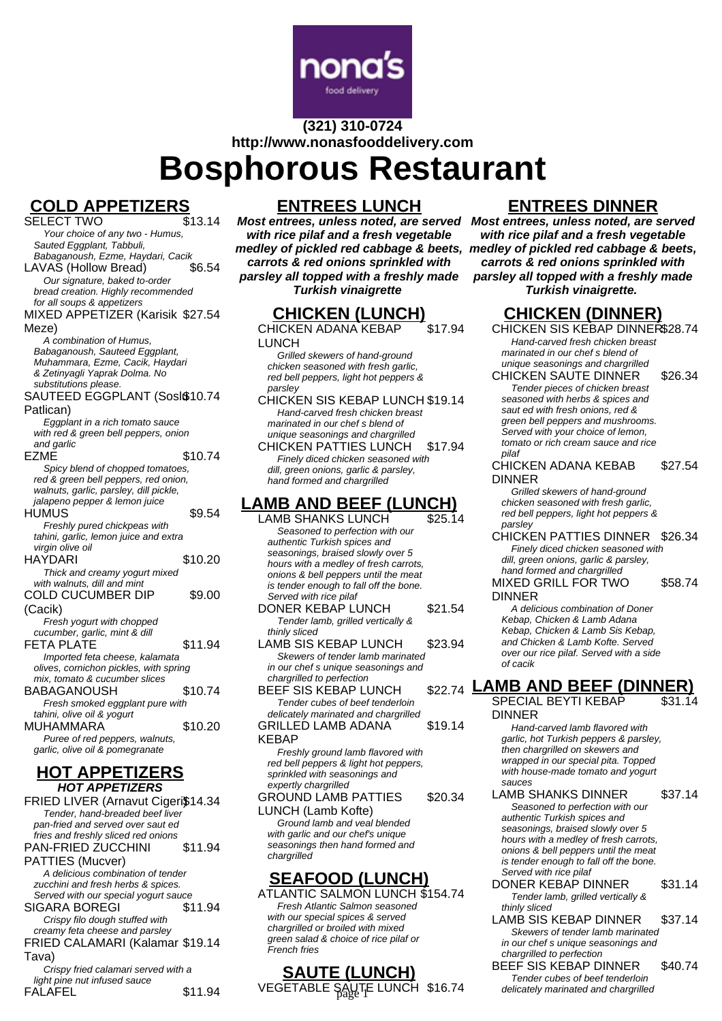

# **(321) 310-0724 http://www.nonasfooddelivery.com**

**Bosphorous Restaurant**

# **COLD APPETIZERS**<br>SELECT TWO

SELECT TWO Your choice of any two - Humus, Sauted Eggplant, Tabbuli, Babaganoush, Ezme, Haydari, Cacik LAVAS (Hollow Bread) \$6.54 Our signature, baked to-order bread creation. Highly recommended for all soups & appetizers MIXED APPETIZER (Karisik \$27.54 Meze) A combination of Humus, Babaganoush, Sauteed Eggplant, Muhammara, Ezme, Cacik, Haydari & Zetinyagli Yaprak Dolma. No substitutions please. SAUTEED EGGPLANT (SosI\$10.74 Patlican) Eggplant in a rich tomato sauce with red & green bell peppers, onion and garlic EZME \$10.74 Spicy blend of chopped tomatoes, red & green bell peppers, red onion, walnuts, garlic, parsley, dill pickle. jalapeno pepper & lemon juice HUMUS \$9.54 Freshly pured chickpeas with tahini, garlic, lemon juice and extra virgin olive oil HAYDARI \$10.20 Thick and creamy yogurt mixed with walnuts, dill and mint COLD CUCUMBER DIP (Cacik) \$9.00 Fresh yogurt with chopped cucumber, garlic, mint & dill FETA PLATE \$11.94 Imported feta cheese, kalamata olives, cornichon pickles, with spring mix, tomato & cucumber slices BABAGANOUSH \$10.74 Fresh smoked eggplant pure with tahini, olive oil & yogurt MUHAMMARA \$10.20 Puree of red peppers, walnuts, garlic, olive oil & pomegranate

### **HOT APPETIZERS HOT APPETIZERS**

FRIED LIVER (Arnavut Cigeri\$14.34 Tender, hand-breaded beef liver pan-fried and served over saut ed fries and freshly sliced red onions PAN-FRIED ZUCCHINI PATTIES (Mucver) \$11.94 A delicious combination of tender zucchini and fresh herbs & spices. Served with our special yogurt sauce SIGARA BOREGI \$11.94 Crispy filo dough stuffed with creamy feta cheese and parsley FRIED CALAMARI (Kalamar \$19.14 Tava) Crispy fried calamari served with a light pine nut infused sauce FALAFEL \$11.94

### **ENTREES LUNCH**

**Most entrees, unless noted, are served Most entrees, unless noted, are served with rice pilaf and a fresh vegetable medley of pickled red cabbage & beets, medley of pickled red cabbage & beets, carrots & red onions sprinkled with parsley all topped with a freshly made Turkish vinaigrette**

## **CHICKEN (LUNCH)**

CHICKEN ADANA KEBAP LUNCH \$17.94

Grilled skewers of hand-ground chicken seasoned with fresh garlic, red bell peppers, light hot peppers & parsley

CHICKEN SIS KEBAP LUNCH \$19.14 Hand-carved fresh chicken breast marinated in our chef s blend of unique seasonings and chargrilled CHICKEN PATTIES LUNCH \$17.94

Finely diced chicken seasoned with dill, green onions, garlic & parsley, hand formed and chargrilled

# **LAMB AND BEEF (LUNCH)**

- LAMB SHANKS LUNCH \$25.14 Seasoned to perfection with our authentic Turkish spices and seasonings, braised slowly over 5 hours with a medley of fresh carrots, onions & bell peppers until the meat is tender enough to fall off the bone. Served with rice pilaf
- DONER KEBAP LUNCH \$21.54 Tender lamb, grilled vertically & thinly sliced
- LAMB SIS KEBAP LUNCH \$23.94 Skewers of tender lamb marinated in our chef s unique seasonings and chargrilled to perfection BEEF SIS KEBAP LUNCH

Tender cubes of beef tenderloin delicately marinated and chargrilled GRILLED LAMB ADANA KEBAP \$19.14

Freshly ground lamb flavored with red bell peppers & light hot peppers, sprinkled with seasonings and expertly chargrilled

GROUND LAMB PATTIES LUNCH (Lamb Kofte) \$20.34 Ground lamb and veal blended with garlic and our chef's unique seasonings then hand formed and chargrilled

### **SEAFOOD (LUNCH)**

ATLANTIC SALMON LUNCH \$154.74 Fresh Atlantic Salmon seasoned with our special spices & served chargrilled or broiled with mixed green salad & choice of rice pilaf or French fries

# **SAUTE (LUNCH)**

VEGETABLE SAUTE LUNCH \$16.74 delicately marinated and chargrilled

# **ENTREES DINNER**

**with rice pilaf and a fresh vegetable carrots & red onions sprinkled with parsley all topped with a freshly made Turkish vinaigrette.**

# **CHICKEN (DINNER)**

CHICKEN SIS KEBAP DINNER\$28.74 Hand-carved fresh chicken breast marinated in our chef s blend of unique seasonings and chargrilled CHICKEN SAUTE DINNER \$26.34

Tender pieces of chicken breast seasoned with herbs & spices and saut ed with fresh onions, red & green bell peppers and mushrooms. Served with your choice of lemon, tomato or rich cream sauce and rice pilaf

CHICKEN ADANA KEBAB DINNER \$27.54

Grilled skewers of hand-ground chicken seasoned with fresh garlic, red bell peppers, light hot peppers & parsley

CHICKEN PATTIES DINNER \$26.34 Finely diced chicken seasoned with dill, green onions, garlic & parsley, hand formed and chargrilled

MIXED GRILL FOR TWO DINNER \$58.74

A delicious combination of Doner Kebap, Chicken & Lamb Adana Kebap, Chicken & Lamb Sis Kebap, and Chicken & Lamb Kofte. Served over our rice pilaf. Served with a side of cacik

#### **LAMB AND BEEF (DINNER)** \$31.14

SPECIAL BEYTI KEBAP DINNER

Hand-carved lamb flavored with garlic, hot Turkish peppers & parsley, then chargrilled on skewers and wrapped in our special pita. Topped with house-made tomato and yogurt sauces

LAMB SHANKS DINNER \$37.14 Seasoned to perfection with our authentic Turkish spices and seasonings, braised slowly over 5 hours with a medley of fresh carrots, onions & bell peppers until the meat is tender enough to fall off the bone. Served with rice pilaf

DONER KEBAP DINNER \$31.14 Tender lamb, grilled vertically & thinly sliced

LAMB SIS KEBAP DINNER \$37.14 Skewers of tender lamb marinated in our chef s unique seasonings and chargrilled to perfection

BEEF SIS KEBAP DINNER \$40.74 Tender cubes of beef tenderloin<br>delicately marinated and chargrilled